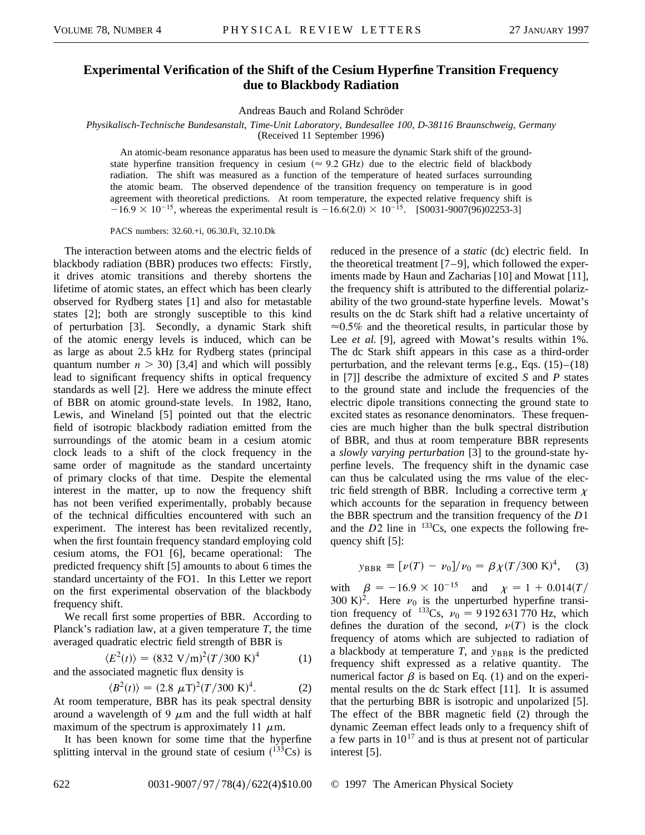## **Experimental Verification of the Shift of the Cesium Hyperfine Transition Frequency due to Blackbody Radiation**

Andreas Bauch and Roland Schröder

*Physikalisch-Technische Bundesanstalt, Time-Unit Laboratory, Bundesallee 100, D-38116 Braunschweig, Germany*

(Received 11 September 1996)

An atomic-beam resonance apparatus has been used to measure the dynamic Stark shift of the groundstate hyperfine transition frequency in cesium ( $\approx 9.2$  GHz) due to the electric field of blackbody radiation. The shift was measured as a function of the temperature of heated surfaces surrounding the atomic beam. The observed dependence of the transition frequency on temperature is in good agreement with theoretical predictions. At room temperature, the expected relative frequency shift is  $-16.9 \times 10^{-15}$ , whereas the experimental result is  $-16.6(2.0) \times 10^{-15}$ . [S0031-9007(96)02253-3]

PACS numbers: 32.60.+i, 06.30.Ft, 32.10.Dk

The interaction between atoms and the electric fields of blackbody radiation (BBR) produces two effects: Firstly, it drives atomic transitions and thereby shortens the lifetime of atomic states, an effect which has been clearly observed for Rydberg states [1] and also for metastable states [2]; both are strongly susceptible to this kind of perturbation [3]. Secondly, a dynamic Stark shift of the atomic energy levels is induced, which can be as large as about 2.5 kHz for Rydberg states (principal quantum number  $n > 30$  [3,4] and which will possibly lead to significant frequency shifts in optical frequency standards as well [2]. Here we address the minute effect of BBR on atomic ground-state levels. In 1982, Itano, Lewis, and Wineland [5] pointed out that the electric field of isotropic blackbody radiation emitted from the surroundings of the atomic beam in a cesium atomic clock leads to a shift of the clock frequency in the same order of magnitude as the standard uncertainty of primary clocks of that time. Despite the elemental interest in the matter, up to now the frequency shift has not been verified experimentally, probably because of the technical difficulties encountered with such an experiment. The interest has been revitalized recently, when the first fountain frequency standard employing cold cesium atoms, the FO1 [6], became operational: The predicted frequency shift [5] amounts to about 6 times the standard uncertainty of the FO1. In this Letter we report on the first experimental observation of the blackbody frequency shift.

We recall first some properties of BBR. According to Planck's radiation law, at a given temperature *T*, the time averaged quadratic electric field strength of BBR is

 $\langle E^2(t) \rangle = (832 \text{ V/m})^2 (T/300 \text{ K})$  $(1)$ and the associated magnetic flux density is

$$
\langle B^2(t) \rangle = (2.8 \ \mu \text{T})^2 (T / 300 \ \text{K})^4. \tag{2}
$$

At room temperature, BBR has its peak spectral density around a wavelength of 9  $\mu$ m and the full width at half maximum of the spectrum is approximately 11  $\mu$ m.

It has been known for some time that the hyperfine splitting interval in the ground state of cesium  $(^{133}Cs)$  is

reduced in the presence of a *static* (dc) electric field. In the theoretical treatment [7–9], which followed the experiments made by Haun and Zacharias [10] and Mowat [11], the frequency shift is attributed to the differential polarizability of the two ground-state hyperfine levels. Mowat's results on the dc Stark shift had a relative uncertainty of  $\approx 0.5\%$  and the theoretical results, in particular those by Lee *et al.* [9], agreed with Mowat's results within 1%. The dc Stark shift appears in this case as a third-order perturbation, and the relevant terms [e.g., Eqs.  $(15)$ – $(18)$ in [7]] describe the admixture of excited *S* and *P* states to the ground state and include the frequencies of the electric dipole transitions connecting the ground state to excited states as resonance denominators. These frequencies are much higher than the bulk spectral distribution of BBR, and thus at room temperature BBR represents a *slowly varying perturbation* [3] to the ground-state hyperfine levels. The frequency shift in the dynamic case can thus be calculated using the rms value of the electric field strength of BBR. Including a corrective term  $\chi$ which accounts for the separation in frequency between the BBR spectrum and the transition frequency of the *D*1 and the  $D2$  line in  $133Cs$ , one expects the following frequency shift [5]:

$$
y_{\text{BBR}} \equiv [\nu(T) - \nu_0]/\nu_0 = \beta \chi(T/300 \text{ K})^4, \quad (3)
$$

with  $\beta = -16.9 \times 10^{-15}$  and  $\chi = 1 + 0.014(T)$ 300 K)<sup>2</sup>. Here  $\nu_0$  is the unperturbed hyperfine transition frequency of <sup>133</sup>Cs,  $v_0 = 9192631770$  Hz, which defines the duration of the second,  $\nu(T)$  is the clock frequency of atoms which are subjected to radiation of a blackbody at temperature  $T$ , and  $y_{BBR}$  is the predicted frequency shift expressed as a relative quantity. The numerical factor  $\beta$  is based on Eq. (1) and on the experimental results on the dc Stark effect [11]. It is assumed that the perturbing BBR is isotropic and unpolarized [5]. The effect of the BBR magnetic field (2) through the dynamic Zeeman effect leads only to a frequency shift of a few parts in  $10^{17}$  and is thus at present not of particular interest [5].

622 0031-9007/97/78(4)/622(4)\$10.00 © 1997 The American Physical Society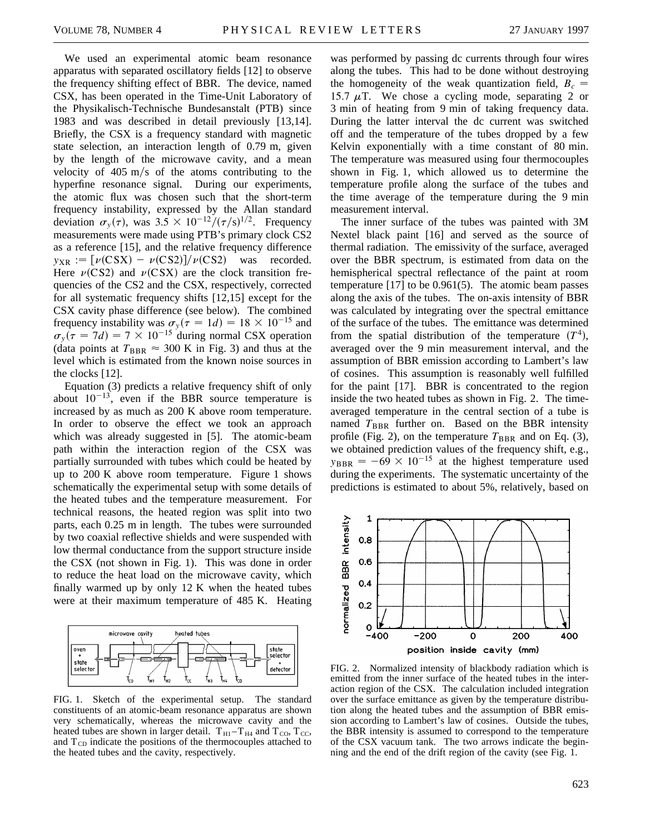We used an experimental atomic beam resonance apparatus with separated oscillatory fields [12] to observe the frequency shifting effect of BBR. The device, named CSX, has been operated in the Time-Unit Laboratory of the Physikalisch-Technische Bundesanstalt (PTB) since 1983 and was described in detail previously [13,14]. Briefly, the CSX is a frequency standard with magnetic state selection, an interaction length of 0.79 m, given by the length of the microwave cavity, and a mean velocity of  $405 \text{ m/s}$  of the atoms contributing to the hyperfine resonance signal. During our experiments, the atomic flux was chosen such that the short-term frequency instability, expressed by the Allan standard deviation  $\sigma_y(\tau)$ , was  $3.5 \times 10^{-12}/(\tau/s)^{1/2}$ . Frequency measurements were made using PTB's primary clock CS2 as a reference [15], and the relative frequency difference  $y_{XR} := [v(CSX) - v(CS2)]/v(CS2)$  was recorded. Here  $\nu(CS2)$  and  $\nu(CSX)$  are the clock transition frequencies of the CS2 and the CSX, respectively, corrected for all systematic frequency shifts [12,15] except for the CSX cavity phase difference (see below). The combined frequency instability was  $\sigma_y(\tau = 1d) = 18 \times 10^{-15}$  and  $\sigma_y(\tau = 7d) = 7 \times 10^{-15}$  during normal CSX operation (data points at  $T_{\rm BBR} \approx 300$  K in Fig. 3) and thus at the level which is estimated from the known noise sources in the clocks [12].

Equation (3) predicts a relative frequency shift of only about  $10^{-13}$ , even if the BBR source temperature is increased by as much as 200 K above room temperature. In order to observe the effect we took an approach which was already suggested in [5]. The atomic-beam path within the interaction region of the CSX was partially surrounded with tubes which could be heated by up to 200 K above room temperature. Figure 1 shows schematically the experimental setup with some details of the heated tubes and the temperature measurement. For technical reasons, the heated region was split into two parts, each 0.25 m in length. The tubes were surrounded by two coaxial reflective shields and were suspended with low thermal conductance from the support structure inside the CSX (not shown in Fig. 1). This was done in order to reduce the heat load on the microwave cavity, which finally warmed up by only 12 K when the heated tubes were at their maximum temperature of 485 K. Heating



FIG. 1. Sketch of the experimental setup. The standard constituents of an atomic-beam resonance apparatus are shown very schematically, whereas the microwave cavity and the heated tubes are shown in larger detail.  $T_{H1}-T_{H4}$  and  $T_{CO}$ ,  $T_{CC}$ , and  $T_{CD}$  indicate the positions of the thermocouples attached to the heated tubes and the cavity, respectively.

was performed by passing dc currents through four wires along the tubes. This had to be done without destroying the homogeneity of the weak quantization field,  $B_c =$ 15.7  $\mu$ T. We chose a cycling mode, separating 2 or 3 min of heating from 9 min of taking frequency data. During the latter interval the dc current was switched off and the temperature of the tubes dropped by a few Kelvin exponentially with a time constant of 80 min. The temperature was measured using four thermocouples shown in Fig. 1, which allowed us to determine the temperature profile along the surface of the tubes and the time average of the temperature during the 9 min measurement interval.

The inner surface of the tubes was painted with 3M Nextel black paint [16] and served as the source of thermal radiation. The emissivity of the surface, averaged over the BBR spectrum, is estimated from data on the hemispherical spectral reflectance of the paint at room temperature [17] to be 0.961(5). The atomic beam passes along the axis of the tubes. The on-axis intensity of BBR was calculated by integrating over the spectral emittance of the surface of the tubes. The emittance was determined from the spatial distribution of the temperature  $(T<sup>4</sup>)$ , averaged over the 9 min measurement interval, and the assumption of BBR emission according to Lambert's law of cosines. This assumption is reasonably well fulfilled for the paint [17]. BBR is concentrated to the region inside the two heated tubes as shown in Fig. 2. The timeaveraged temperature in the central section of a tube is named  $T_{\text{BBR}}$  further on. Based on the BBR intensity profile (Fig. 2), on the temperature  $T_{\text{BBR}}$  and on Eq. (3), we obtained prediction values of the frequency shift, e.g.,  $y_{BBR} = -69 \times 10^{-15}$  at the highest temperature used during the experiments. The systematic uncertainty of the predictions is estimated to about 5%, relatively, based on



FIG. 2. Normalized intensity of blackbody radiation which is emitted from the inner surface of the heated tubes in the interaction region of the CSX. The calculation included integration over the surface emittance as given by the temperature distribution along the heated tubes and the assumption of BBR emission according to Lambert's law of cosines. Outside the tubes, the BBR intensity is assumed to correspond to the temperature of the CSX vacuum tank. The two arrows indicate the beginning and the end of the drift region of the cavity (see Fig. 1.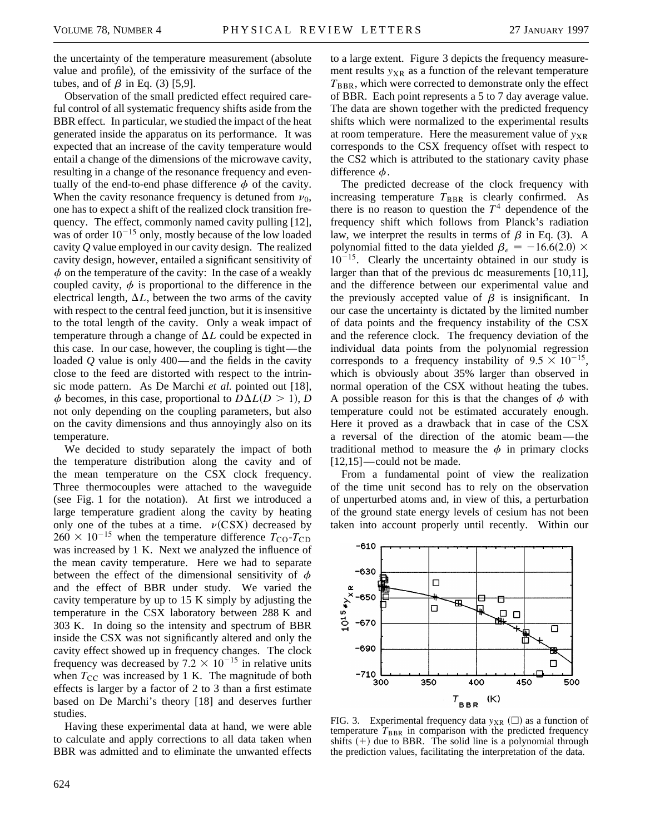the uncertainty of the temperature measurement (absolute value and profile), of the emissivity of the surface of the tubes, and of  $\beta$  in Eq. (3) [5,9].

Observation of the small predicted effect required careful control of all systematic frequency shifts aside from the BBR effect. In particular, we studied the impact of the heat generated inside the apparatus on its performance. It was expected that an increase of the cavity temperature would entail a change of the dimensions of the microwave cavity, resulting in a change of the resonance frequency and eventually of the end-to-end phase difference  $\phi$  of the cavity. When the cavity resonance frequency is detuned from  $\nu_0$ , one has to expect a shift of the realized clock transition frequency. The effect, commonly named cavity pulling [12], was of order  $10^{-15}$  only, mostly because of the low loaded cavity *Q* value employed in our cavity design. The realized cavity design, however, entailed a significant sensitivity of  $\phi$  on the temperature of the cavity: In the case of a weakly coupled cavity,  $\phi$  is proportional to the difference in the electrical length,  $\Delta L$ , between the two arms of the cavity with respect to the central feed junction, but it is insensitive to the total length of the cavity. Only a weak impact of temperature through a change of  $\Delta L$  could be expected in this case. In our case, however, the coupling is tight—the loaded *Q* value is only 400—and the fields in the cavity close to the feed are distorted with respect to the intrinsic mode pattern. As De Marchi *et al.* pointed out [18],  $\phi$  becomes, in this case, proportional to  $D\Delta L(D > 1)$ , *D* not only depending on the coupling parameters, but also on the cavity dimensions and thus annoyingly also on its temperature.

We decided to study separately the impact of both the temperature distribution along the cavity and of the mean temperature on the CSX clock frequency. Three thermocouples were attached to the waveguide (see Fig. 1 for the notation). At first we introduced a large temperature gradient along the cavity by heating only one of the tubes at a time.  $\nu(CSX)$  decreased by  $260 \times 10^{-15}$  when the temperature difference  $T_{\text{CO}}-T_{\text{CD}}$ was increased by 1 K. Next we analyzed the influence of the mean cavity temperature. Here we had to separate between the effect of the dimensional sensitivity of  $\phi$ and the effect of BBR under study. We varied the cavity temperature by up to 15 K simply by adjusting the temperature in the CSX laboratory between 288 K and 303 K. In doing so the intensity and spectrum of BBR inside the CSX was not significantly altered and only the cavity effect showed up in frequency changes. The clock frequency was decreased by 7.2  $\times$  10<sup>-15</sup> in relative units when  $T_{\text{CC}}$  was increased by 1 K. The magnitude of both effects is larger by a factor of 2 to 3 than a first estimate based on De Marchi's theory [18] and deserves further studies.

Having these experimental data at hand, we were able to calculate and apply corrections to all data taken when BBR was admitted and to eliminate the unwanted effects

to a large extent. Figure 3 depicts the frequency measurement results  $y_{XR}$  as a function of the relevant temperature  $T_{\rm BBR}$ , which were corrected to demonstrate only the effect of BBR. Each point represents a 5 to 7 day average value. The data are shown together with the predicted frequency shifts which were normalized to the experimental results at room temperature. Here the measurement value of  $y_{XR}$ corresponds to the CSX frequency offset with respect to the CS2 which is attributed to the stationary cavity phase difference  $\phi$ .

The predicted decrease of the clock frequency with increasing temperature  $T_{BBR}$  is clearly confirmed. As there is no reason to question the  $T<sup>4</sup>$  dependence of the frequency shift which follows from Planck's radiation law, we interpret the results in terms of  $\beta$  in Eq. (3). A polynomial fitted to the data yielded  $\beta_e = -16.6(2.0) \times$  $10^{-15}$ . Clearly the uncertainty obtained in our study is larger than that of the previous dc measurements [10,11], and the difference between our experimental value and the previously accepted value of  $\beta$  is insignificant. In our case the uncertainty is dictated by the limited number of data points and the frequency instability of the CSX and the reference clock. The frequency deviation of the individual data points from the polynomial regression corresponds to a frequency instability of  $9.5 \times 10^{-15}$ , which is obviously about 35% larger than observed in normal operation of the CSX without heating the tubes. A possible reason for this is that the changes of  $\phi$  with temperature could not be estimated accurately enough. Here it proved as a drawback that in case of the CSX a reversal of the direction of the atomic beam—the traditional method to measure the  $\phi$  in primary clocks [12,15]—could not be made.

From a fundamental point of view the realization of the time unit second has to rely on the observation of unperturbed atoms and, in view of this, a perturbation of the ground state energy levels of cesium has not been taken into account properly until recently. Within our



FIG. 3. Experimental frequency data  $y_{XR}$  ( $\square$ ) as a function of temperature  $T_{\rm BBR}$  in comparison with the predicted frequency shifts  $(+)$  due to BBR. The solid line is a polynomial through the prediction values, facilitating the interpretation of the data.